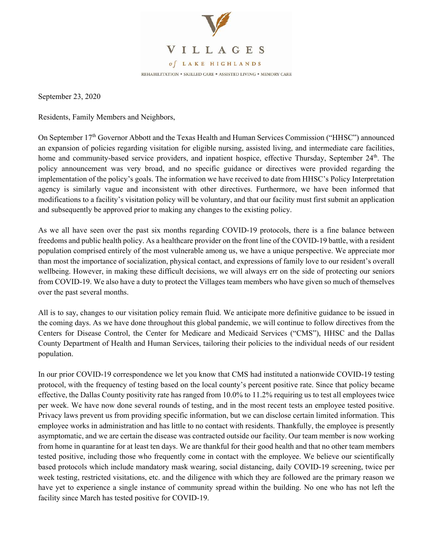

September 23, 2020

Residents, Family Members and Neighbors,

On September 17<sup>th</sup> Governor Abbott and the Texas Health and Human Services Commission ("HHSC") announced an expansion of policies regarding visitation for eligible nursing, assisted living, and intermediate care facilities, home and community-based service providers, and inpatient hospice, effective Thursday, September 24<sup>th</sup>. The policy announcement was very broad, and no specific guidance or directives were provided regarding the implementation of the policy's goals. The information we have received to date from HHSC's Policy Interpretation agency is similarly vague and inconsistent with other directives. Furthermore, we have been informed that modifications to a facility's visitation policy will be voluntary, and that our facility must first submit an application and subsequently be approved prior to making any changes to the existing policy.

As we all have seen over the past six months regarding COVID-19 protocols, there is a fine balance between freedoms and public health policy. As a healthcare provider on the front line of the COVID-19 battle, with a resident population comprised entirely of the most vulnerable among us, we have a unique perspective. We appreciate mor than most the importance of socialization, physical contact, and expressions of family love to our resident's overall wellbeing. However, in making these difficult decisions, we will always err on the side of protecting our seniors from COVID-19. We also have a duty to protect the Villages team members who have given so much of themselves over the past several months.

All is to say, changes to our visitation policy remain fluid. We anticipate more definitive guidance to be issued in the coming days. As we have done throughout this global pandemic, we will continue to follow directives from the Centers for Disease Control, the Center for Medicare and Medicaid Services ("CMS"), HHSC and the Dallas County Department of Health and Human Services, tailoring their policies to the individual needs of our resident population.

In our prior COVID-19 correspondence we let you know that CMS had instituted a nationwide COVID-19 testing protocol, with the frequency of testing based on the local county's percent positive rate. Since that policy became effective, the Dallas County positivity rate has ranged from 10.0% to 11.2% requiring us to test all employees twice per week. We have now done several rounds of testing, and in the most recent tests an employee tested positive. Privacy laws prevent us from providing specific information, but we can disclose certain limited information. This employee works in administration and has little to no contact with residents. Thankfully, the employee is presently asymptomatic, and we are certain the disease was contracted outside our facility. Our team member is now working from home in quarantine for at least ten days. We are thankful for their good health and that no other team members tested positive, including those who frequently come in contact with the employee. We believe our scientifically based protocols which include mandatory mask wearing, social distancing, daily COVID-19 screening, twice per week testing, restricted visitations, etc. and the diligence with which they are followed are the primary reason we have yet to experience a single instance of community spread within the building. No one who has not left the facility since March has tested positive for COVID-19.